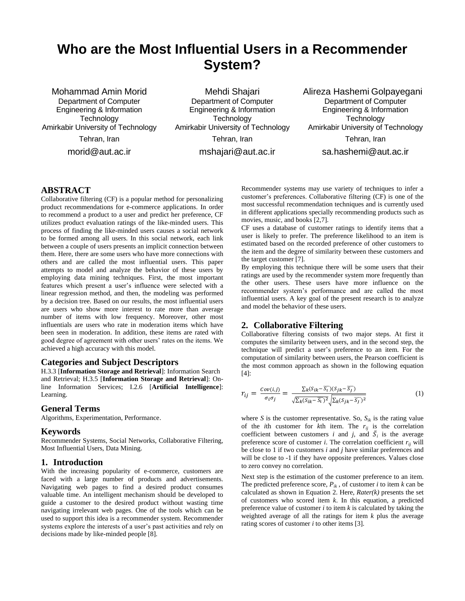# **Who are the Most Influential Users in a Recommender System?**

Mohammad Amin Morid Department of Computer Engineering & Information **Technology** Amirkabir University of Technology Tehran, Iran morid@aut.ac.ir

Mehdi Shajari Department of Computer Engineering & Information **Technology** Amirkabir University of Technology Tehran, Iran mshajari@aut.ac.ir

Alireza Hashemi Golpayegani Department of Computer Engineering & Information **Technology** Amirkabir University of Technology Tehran, Iran sa.hashemi@aut.ac.ir

# **ABSTRACT**

Collaborative filtering (CF) is a popular method for personalizing product recommendations for e-commerce applications. In order to recommend a product to a user and predict her preference, CF utilizes product evaluation ratings of the like-minded users. This process of finding the like-minded users causes a social network to be formed among all users. In this social network, each link between a couple of users presents an implicit connection between them. Here, there are some users who have more connections with others and are called the most influential users. This paper attempts to model and analyze the behavior of these users by employing data mining techniques. First, the most important features which present a user's influence were selected with a linear regression method, and then, the modeling was performed by a decision tree. Based on our results, the most influential users are users who show more interest to rate more than average number of items with low frequency. Moreover, other most influentials are users who rate in moderation items which have been seen in moderation. In addition, these items are rated with good degree of agreement with other users' rates on the items. We achieved a high accuracy with this model.

## **Categories and Subject Descriptors**

H.3.3 [**Information Storage and Retrieval**]: Information Search and Retrieval; H.3.5 [**Information Storage and Retrieval**]: Online Information Services; I.2.6 [**Artificial Intelligence**]: Learning.

# **General Terms**

Algorithms, Experimentation, Performance.

#### **Keywords**

Recommender Systems, Social Networks, Collaborative Filtering, Most Influential Users, Data Mining.

### **1. Introduction**

With the increasing popularity of e-commerce, customers are faced with a large number of products and advertisements. Navigating web pages to find a desired product consumes valuable time. An intelligent mechanism should be developed to guide a customer to the desired product without wasting time navigating irrelevant web pages. One of the tools which can be used to support this idea is a recommender system. Recommender systems explore the interests of a user's past activities and rely on decisions made by like-minded people [8].

Recommender systems may use variety of techniques to infer a customer's preferences. Collaborative filtering (CF) is one of the most successful recommendation techniques and is currently used in different applications specially recommending products such as movies, music, and books [2,7].

CF uses a database of customer ratings to identify items that a user is likely to prefer. The preference likelihood to an item is estimated based on the recorded preference of other customers to the item and the degree of similarity between these customers and the target customer [7].

By employing this technique there will be some users that their ratings are used by the recommender system more frequently than the other users. These users have more influence on the recommender system's performance and are called the most influential users. A key goal of the present research is to analyze and model the behavior of these users.

# **2. Collaborative Filtering**

Collaborative filtering consists of two major steps. At first it computes the similarity between users, and in the second step, the technique will predict a user's preference to an item. For the computation of similarity between users, the Pearson coefficient is the most common approach as shown in the following equation [4]:

$$
r_{ij} = \frac{Cov(i,j)}{\sigma_i \sigma_j} = \frac{\sum_k (S_{ik} - \overline{S_i})(S_{jk} - \overline{S_j})}{\sqrt{\sum_k (S_{ik} - \overline{S_i})^2} \sqrt{\sum_k (S_{jk} - \overline{S_j})^2}}
$$
(1)

where *S* is the customer representative. So,  $S_{ik}$  is the rating value of the *i*th customer for *k*th item. The  $r_{ii}$  is the correlation coefficient between customers *i* and *j*, and  $\bar{S}_i$  is the average preference score of customer *i*. The correlation coefficient  $r_{ij}$  will be close to 1 if two customers *i* and *j* have similar preferences and will be close to -1 if they have opposite preferences. Values close to zero convey no correlation.

Next step is the estimation of the customer preference to an item. The predicted preference score,  $P_{ik}$ , of customer *i* to item *k* can be calculated as shown in Equation 2. Here, *Rater(k)* presents the set of customers who scored item *k*. In this equation, a predicted preference value of customer *i* to item *k* is calculated by taking the weighted average of all the ratings for item *k* plus the average rating scores of customer *i* to other items [3].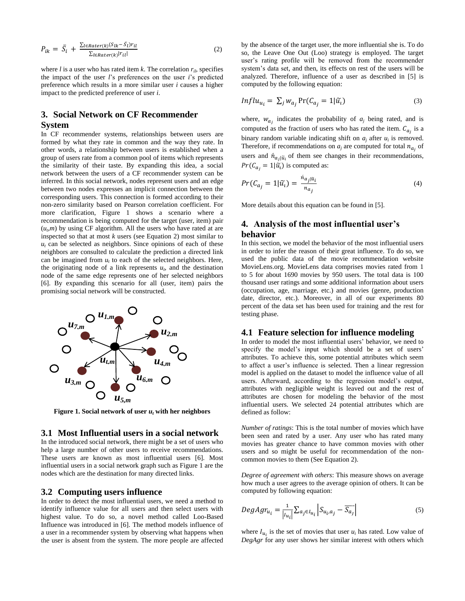$$
P_{ik} = \bar{S}_i + \frac{\Sigma_{l \in Rater(k)}(S_{lk} - \bar{S}_l)r_{il}}{\Sigma_{l \in Rater(k)}|r_{il}|}
$$
(2)

where *l* is a user who has rated item *k*. The correlation  $r_{ik}$ , specifies the impact of the user *l*'s preferences on the user *i*'s predicted preference which results in a more similar user *i* causes a higher impact to the predicted preference of user *i*.

# **3. Social Network on CF Recommender System**

In CF recommender systems, relationships between users are formed by what they rate in common and the way they rate. In other words, a relationship between users is established when a group of users rate from a common pool of items which represents the similarity of their taste. By expanding this idea, a social network between the users of a CF recommender system can be inferred. In this social network, nodes represent users and an edge between two nodes expresses an implicit connection between the corresponding users. This connection is formed according to their non-zero similarity based on Pearson correlation coefficient. For more clarification, Figure 1 shows a scenario where a recommendation is being computed for the target (user, item) pair  $(u_t, m)$  by using CF algorithm. All the users who have rated at are inspected so that at most *k* users (see Equation 2) most similar to  $u_t$  can be selected as neighbors. Since opinions of each of these neighbors are consulted to calculate the prediction a directed link can be imagined from  $u_t$  to each of the selected neighbors. Here, the originating node of a link represents  $u_t$ , and the destination node of the same edge represents one of her selected neighbors [6]. By expanding this scenario for all (user, item) pairs the promising social network will be constructed.



**Figure 1. Social network of user**  $u_t$  **with her neighbors** 

#### **3.1 Most Influential users in a social network**

In the introduced social network, there might be a set of users who help a large number of other users to receive recommendations. These users are known as most influential users [6]. Most influential users in a social network graph such as Figure 1 are the nodes which are the destination for many directed links.

#### **3.2 Computing users influence**

In order to detect the most influential users, we need a method to identify influence value for all users and then select users with highest value. To do so, a novel method called Loo-Based Influence was introduced in [6]. The method models influence of a user in a recommender system by observing what happens when the user is absent from the system. The more people are affected

by the absence of the target user, the more influential she is. To do so, the Leave One Out (Loo) strategy is employed. The target user's rating profile will be removed from the recommender system's data set, and then, its effects on rest of the users will be analyzed. Therefore, influence of a user as described in [5] is computed by the following equation:

$$
Influ_{u_i} = \sum_j w_{a_j} \Pr(C_{a_j} = 1 | \tilde{u_i})
$$
\n(3)

where,  $w_{a_i}$  indicates the probability of  $a_j$  being rated, and is computed as the fraction of users who has rated the item.  $C_{a}$ , is a binary random variable indicating shift on  $a_j$  after  $u_i$  is removed. Therefore, if recommendations on  $a_j$  are computed for total  $n_{a_j}$  of users and  $\hat{n}_{a_j}$  of them see changes in their recommendations,  $Pr(C_{a_i} = 1 | \tilde{u_i})$  is computed as:

$$
Pr(C_{a_j} = 1 | \widetilde{u}_t) = \frac{n_{a_j | \widetilde{u}_t}}{n_{a_j}}
$$
\n<sup>(4)</sup>

More details about this equation can be found in [5].

## **4. Analysis of the most influential user's behavior**

In this section, we model the behavior of the most influential users in order to infer the reason of their great influence. To do so, we used the public data of the movie recommendation website MovieLens.org. MovieLens data comprises movies rated from 1 to 5 for about 1690 movies by 950 users. The total data is 100 thousand user ratings and some additional information about users (occupation, age, marriage, etc.) and movies (genre, production date, director, etc.). Moreover, in all of our experiments 80 percent of the data set has been used for training and the rest for testing phase.

#### **4.1 Feature selection for influence modeling**

In order to model the most influential users' behavior, we need to specify the model's input which should be a set of users' attributes. To achieve this, some potential attributes which seem to affect a user's influence is selected. Then a linear regression model is applied on the dataset to model the influence value of all users. Afterward, according to the regression model's output, attributes with negligible weight is leaved out and the rest of attributes are chosen for modeling the behavior of the most influential users. We selected 24 potential attributes which are defined as follow:

*Number of ratings*: This is the total number of movies which have been seen and rated by a user. Any user who has rated many movies has greater chance to have common movies with other users and so might be useful for recommendation of the noncommon movies to them (See Equation 2).

*Degree of agreement with others*: This measure shows on average how much a user agrees to the average opinion of others. It can be computed by following equation:

$$
DegAgr_{u_i} = \frac{1}{|I_{u_i}|} \sum_{a_j \in I_{u_i}} \left| S_{u_i, a_j} - \overline{S_{a_j}} \right|
$$
 (5)

where  $I_{u_i}$  is the set of movies that user  $u_i$  has rated. Low value of *DegAgr* for any user shows her similar interest with others which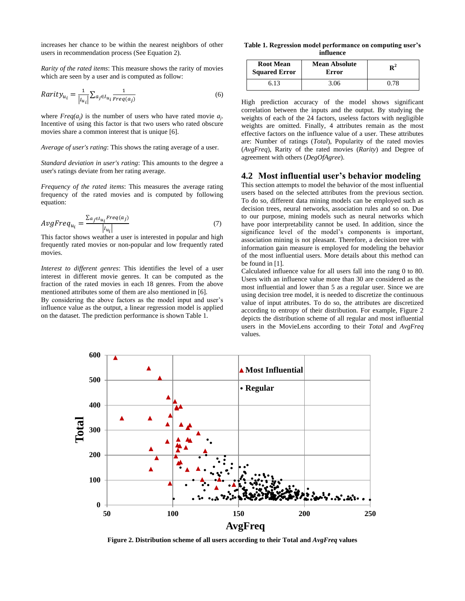increases her chance to be within the nearest neighbors of other users in recommendation process (See Equation 2).

*Rarity of the rated items*: This measure shows the rarity of movies which are seen by a user and is computed as follow:

$$
Rarity_{u_i} = \frac{1}{|I_{u_i}|} \sum_{a_j \in I_{u_i}} \frac{1}{Freq(a_j)}
$$
\n<sup>(6)</sup>

where  $Freq(a_j)$  is the number of users who have rated movie  $a_j$ . Incentive of using this factor is that two users who rated obscure movies share a common interest that is unique [6].

*Average of user's rating*: This shows the rating average of a user.

*Standard deviation in user's rating*: This amounts to the degree a user's ratings deviate from her rating average.

*Frequency of the rated items*: This measures the average rating frequency of the rated movies and is computed by following equation:

$$
AvgFreq_{u_i} = \frac{\sum_{a_j \in I_{u_i}}Freq(a_j)}{|I_{u_i}|}\tag{7}
$$

This factor shows weather a user is interested in popular and high frequently rated movies or non-popular and low frequently rated movies.

*Interest to different genres*: This identifies the level of a user interest in different movie genres. It can be computed as the fraction of the rated movies in each 18 genres. From the above mentioned attributes some of them are also mentioned in [6].

By considering the above factors as the model input and user's influence value as the output, a linear regression model is applied on the dataset. The prediction performance is shown Table 1.

**Table 1. Regression model performance on computing user's influence**

| <b>Root Mean</b><br><b>Squared Error</b> | <b>Mean Absolute</b><br>Error | R,   |
|------------------------------------------|-------------------------------|------|
| 6.13                                     | 3.06                          | 0.78 |

High prediction accuracy of the model shows significant correlation between the inputs and the output. By studying the weights of each of the 24 factors, useless factors with negligible weights are omitted. Finally, 4 attributes remain as the most effective factors on the influence value of a user. These attributes are: Number of ratings (*Total*), Popularity of the rated movies (*AvgFreq*), Rarity of the rated movies (*Rarity*) and Degree of agreement with others (*DegOfAgree*).

#### **4.2 Most influential user's behavior modeling**

This section attempts to model the behavior of the most influential users based on the selected attributes from the previous section. To do so, different data mining models can be employed such as decision trees, neural networks, association rules and so on. Due to our purpose, mining models such as neural networks which have poor interpretability cannot be used. In addition, since the significance level of the model's components is important, association mining is not pleasant. Therefore, a decision tree with information gain measure is employed for modeling the behavior of the most influential users. More details about this method can be found in [1].

Calculated influence value for all users fall into the rang 0 to 80. Users with an influence value more than 30 are considered as the most influential and lower than 5 as a regular user. Since we are using decision tree model, it is needed to discretize the continuous value of input attributes. To do so, the attributes are discretized according to entropy of their distribution. For example, Figure 2 depicts the distribution scheme of all regular and most influential users in the MovieLens according to their *Total* and *AvgFreq* values.



**Figure 2. Distribution scheme of all users according to their Total and** *AvgFreq* **values**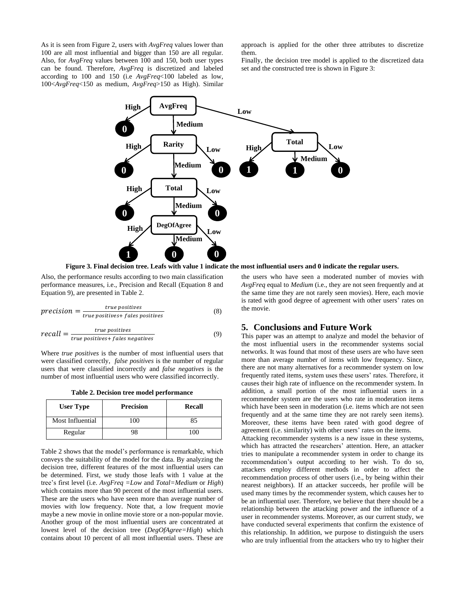As it is seen from Figure 2, users with *AvgFreq* values lower than 100 are all most influential and bigger than 150 are all regular. Also, for *AvgFreq* values between 100 and 150, both user types can be found. Therefore, *AvgFreq* is discretized and labeled according to 100 and 150 (i.e *AvgFreq*<100 labeled as low, 100<*AvgFreq*<150 as medium, *AvgFreq*>150 as High). Similar

approach is applied for the other three attributes to discretize them.

Finally, the decision tree model is applied to the discretized data set and the constructed tree is shown in Figure 3:



**Figure 3. Final decision tree. Leafs with value 1 indicate the most influential users and 0 indicate the regular users.**

Also, the performance results according to two main classification performance measures, i.e., Precision and Recall (Equation 8 and Equation 9), are presented in Table 2.

$$
precision = \frac{true \, positives}{true \, positives + false \, positives} \tag{8}
$$

$$
recall = \frac{true \, positives}{true \, positives + false \, negatives} \tag{9}
$$

Where *true positives* is the number of most influential users that were classified correctly, *false positives* is the number of regular users that were classified incorrectly and *false negatives* is the number of most influential users who were classified incorrectly.

**Table 2. Decision tree model performance** 

| User Type        | <b>Precision</b> | Recall |
|------------------|------------------|--------|
| Most Influential | 100              |        |
| Regular          |                  | 100    |

Table 2 shows that the model's performance is remarkable, which conveys the suitability of the model for the data. By analyzing the decision tree, different features of the most influential users can be determined. First, we study those leafs with 1 value at the tree's first level (i.e. *AvgFreq =Low* and *Total=Medium* or *High*) which contains more than 90 percent of the most influential users. These are the users who have seen more than average number of movies with low frequency. Note that, a low frequent movie maybe a new movie in online movie store or a non-popular movie. Another group of the most influential users are concentrated at lowest level of the decision tree (*DegOfAgree=High*) which contains about 10 percent of all most influential users. These are

the users who have seen a moderated number of movies with *AvgFreq* equal to *Medium* (i.e., they are not seen frequently and at the same time they are not rarely seen movies). Here, each movie is rated with good degree of agreement with other users' rates on the movie.

# **5. Conclusions and Future Work**

This paper was an attempt to analyze and model the behavior of the most influential users in the recommender systems social networks. It was found that most of these users are who have seen more than average number of items with low frequency. Since, there are not many alternatives for a recommender system on low frequently rated items, system uses these users' rates. Therefore, it causes their high rate of influence on the recommender system. In addition, a small portion of the most influential users in a recommender system are the users who rate in moderation items which have been seen in moderation (i.e. items which are not seen frequently and at the same time they are not rarely seen items). Moreover, these items have been rated with good degree of agreement (i.e. similarity) with other users' rates on the items.

Attacking recommender systems is a new issue in these systems, which has attracted the researchers' attention. Here, an attacker tries to manipulate a recommender system in order to change its recommendation's output according to her wish. To do so, attackers employ different methods in order to affect the recommendation process of other users (i.e., by being within their nearest neighbors). If an attacker succeeds, her profile will be used many times by the recommender system, which causes her to be an influential user. Therefore, we believe that there should be a relationship between the attacking power and the influence of a user in recommender systems. Moreover, as our current study, we have conducted several experiments that confirm the existence of this relationship. In addition, we purpose to distinguish the users who are truly influential from the attackers who try to higher their